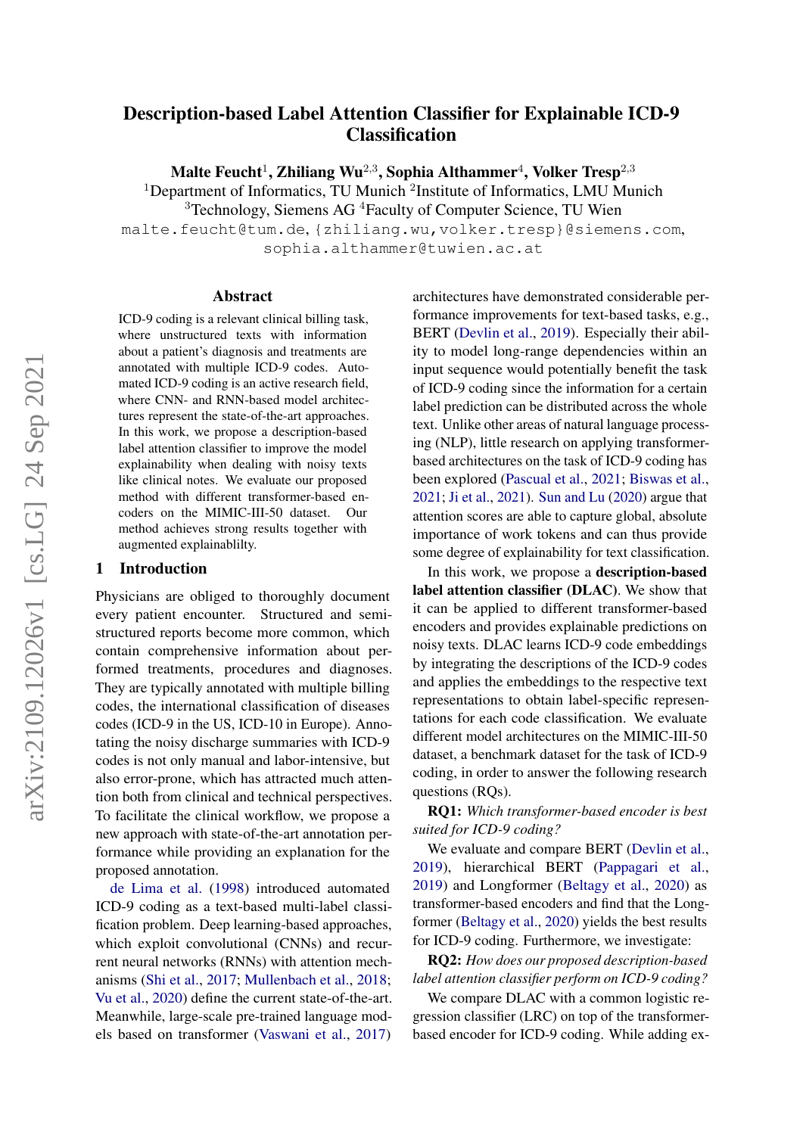# Description-based Label Attention Classifier for Explainable ICD-9 **Classification**

Malte Feucht $^1$ , Zhiliang Wu $^{2,3}$ , Sophia Althammer $^4$ , Volker Tresp $^{2,3}$ 

<sup>1</sup>Department of Informatics, TU Munich <sup>2</sup>Institute of Informatics, LMU Munich

<sup>3</sup>Technology, Siemens AG <sup>4</sup>Faculty of Computer Science, TU Wien

malte.feucht@tum.de, {zhiliang.wu,volker.tresp}@siemens.com, sophia.althammer@tuwien.ac.at

### Abstract

ICD-9 coding is a relevant clinical billing task, where unstructured texts with information about a patient's diagnosis and treatments are annotated with multiple ICD-9 codes. Automated ICD-9 coding is an active research field, where CNN- and RNN-based model architectures represent the state-of-the-art approaches. In this work, we propose a description-based label attention classifier to improve the model explainability when dealing with noisy texts like clinical notes. We evaluate our proposed method with different transformer-based encoders on the MIMIC-III-50 dataset. Our method achieves strong results together with augmented explainablilty.

# 1 Introduction

Physicians are obliged to thoroughly document every patient encounter. Structured and semistructured reports become more common, which contain comprehensive information about performed treatments, procedures and diagnoses. They are typically annotated with multiple billing codes, the international classification of diseases codes (ICD-9 in the US, ICD-10 in Europe). Annotating the noisy discharge summaries with ICD-9 codes is not only manual and labor-intensive, but also error-prone, which has attracted much attention both from clinical and technical perspectives. To facilitate the clinical workflow, we propose a new approach with state-of-the-art annotation performance while providing an explanation for the proposed annotation.

[de Lima et al.](#page-4-0) [\(1998\)](#page-4-0) introduced automated ICD-9 coding as a text-based multi-label classification problem. Deep learning-based approaches, which exploit convolutional (CNNs) and recurrent neural networks (RNNs) with attention mechanisms [\(Shi et al.,](#page-4-1) [2017;](#page-4-1) [Mullenbach et al.,](#page-4-2) [2018;](#page-4-2) [Vu et al.,](#page-4-3) [2020\)](#page-4-3) define the current state-of-the-art. Meanwhile, large-scale pre-trained language models based on transformer [\(Vaswani et al.,](#page-4-4) [2017\)](#page-4-4)

architectures have demonstrated considerable performance improvements for text-based tasks, e.g., BERT [\(Devlin et al.,](#page-4-5) [2019\)](#page-4-5). Especially their ability to model long-range dependencies within an input sequence would potentially benefit the task of ICD-9 coding since the information for a certain label prediction can be distributed across the whole text. Unlike other areas of natural language processing (NLP), little research on applying transformerbased architectures on the task of ICD-9 coding has been explored [\(Pascual et al.,](#page-4-6) [2021;](#page-4-6) [Biswas et al.,](#page-4-7) [2021;](#page-4-7) [Ji et al.,](#page-4-8) [2021\)](#page-4-8). [Sun and Lu](#page-4-9) [\(2020\)](#page-4-9) argue that attention scores are able to capture global, absolute importance of work tokens and can thus provide some degree of explainability for text classification.

In this work, we propose a description-based label attention classifier (DLAC). We show that it can be applied to different transformer-based encoders and provides explainable predictions on noisy texts. DLAC learns ICD-9 code embeddings by integrating the descriptions of the ICD-9 codes and applies the embeddings to the respective text representations to obtain label-specific representations for each code classification. We evaluate different model architectures on the MIMIC-III-50 dataset, a benchmark dataset for the task of ICD-9 coding, in order to answer the following research questions (RQs).

RQ1: *Which transformer-based encoder is best suited for ICD-9 coding?*

We evaluate and compare BERT [\(Devlin et al.,](#page-4-5) [2019\)](#page-4-5), hierarchical BERT [\(Pappagari et al.,](#page-4-10) [2019\)](#page-4-10) and Longformer [\(Beltagy et al.,](#page-4-11) [2020\)](#page-4-11) as transformer-based encoders and find that the Longformer [\(Beltagy et al.,](#page-4-11) [2020\)](#page-4-11) yields the best results for ICD-9 coding. Furthermore, we investigate:

RQ2: *How does our proposed description-based label attention classifier perform on ICD-9 coding?*

We compare DLAC with a common logistic regression classifier (LRC) on top of the transformerbased encoder for ICD-9 coding. While adding ex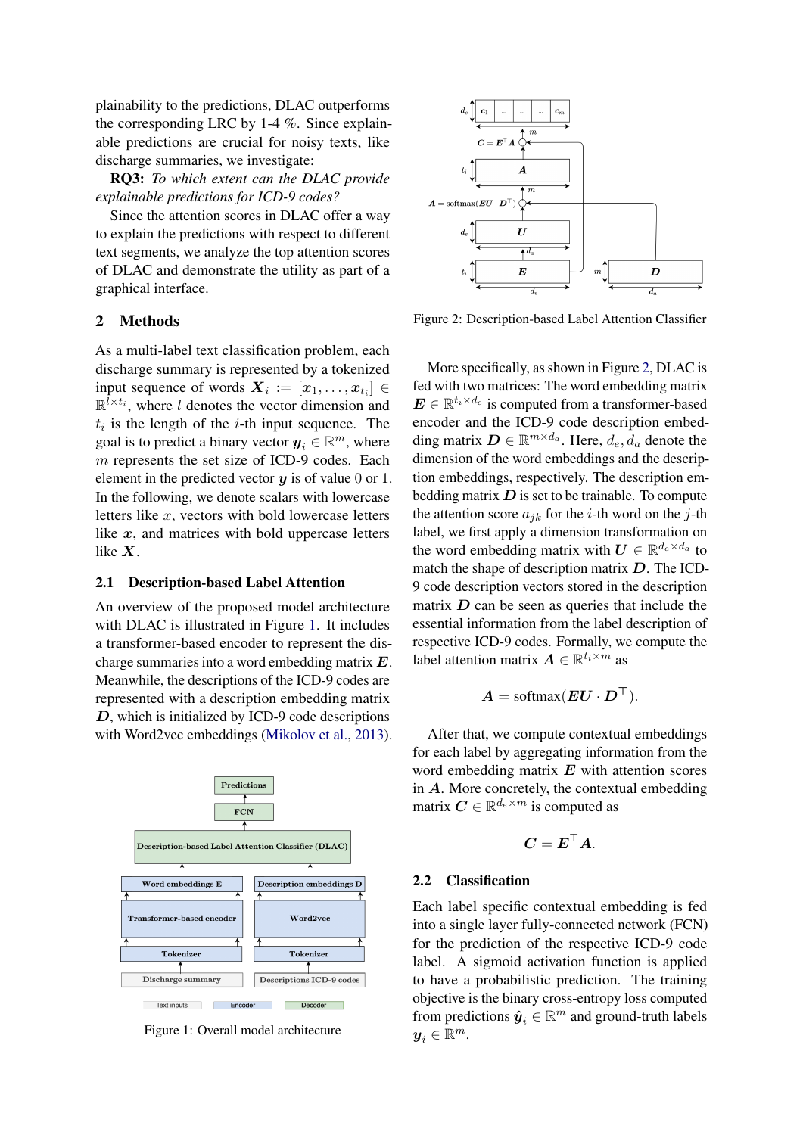plainability to the predictions, DLAC outperforms the corresponding LRC by 1-4 %. Since explainable predictions are crucial for noisy texts, like discharge summaries, we investigate:

RQ3: *To which extent can the DLAC provide explainable predictions for ICD-9 codes?*

Since the attention scores in DLAC offer a way to explain the predictions with respect to different text segments, we analyze the top attention scores of DLAC and demonstrate the utility as part of a graphical interface.

# 2 Methods

As a multi-label text classification problem, each discharge summary is represented by a tokenized input sequence of words  $\boldsymbol{X}_i := \left[ \boldsymbol{x}_1, \dots, \boldsymbol{x}_{t_i} \right] \in$  $\mathbb{R}^{l \times t_i}$ , where *l* denotes the vector dimension and  $t_i$  is the length of the *i*-th input sequence. The goal is to predict a binary vector  $y_i \in \mathbb{R}^m$ , where m represents the set size of ICD-9 codes. Each element in the predicted vector  $y$  is of value 0 or 1. In the following, we denote scalars with lowercase letters like  $x$ , vectors with bold lowercase letters like  $x$ , and matrices with bold uppercase letters like X.

### 2.1 Description-based Label Attention

An overview of the proposed model architecture with DLAC is illustrated in Figure [1.](#page-1-0) It includes a transformer-based encoder to represent the discharge summaries into a word embedding matrix E. Meanwhile, the descriptions of the ICD-9 codes are represented with a description embedding matrix D, which is initialized by ICD-9 code descriptions with Word2vec embeddings [\(Mikolov et al.,](#page-4-12) [2013\)](#page-4-12).

<span id="page-1-0"></span>

Figure 1: Overall model architecture

<span id="page-1-1"></span>

Figure 2: Description-based Label Attention Classifier

More specifically, as shown in Figure [2,](#page-1-1) DLAC is fed with two matrices: The word embedding matrix  $\mathbf{E} \in \mathbb{R}^{t_i \times d_e}$  is computed from a transformer-based encoder and the ICD-9 code description embedding matrix  $\mathbf{D} \in \mathbb{R}^{m \times d_a}$ . Here,  $d_e$ ,  $\bar{d}_a$  denote the dimension of the word embeddings and the description embeddings, respectively. The description embedding matrix  $D$  is set to be trainable. To compute the attention score  $a_{jk}$  for the *i*-th word on the *j*-th label, we first apply a dimension transformation on the word embedding matrix with  $U \in \mathbb{R}^{d_e \times d_a}$  to match the shape of description matrix  $D$ . The ICD-9 code description vectors stored in the description matrix  $D$  can be seen as queries that include the essential information from the label description of respective ICD-9 codes. Formally, we compute the label attention matrix  $A \in \mathbb{R}^{t_i \times m}$  as

$$
\boldsymbol{A} = \mathrm{softmax}(\boldsymbol{E}\boldsymbol{U}\cdot\boldsymbol{D}^\top).
$$

After that, we compute contextual embeddings for each label by aggregating information from the word embedding matrix  $E$  with attention scores in A. More concretely, the contextual embedding matrix  $C \in \mathbb{R}^{d_e \times m}$  is computed as

$$
\boldsymbol{C} = \boldsymbol{E}^\top \boldsymbol{A}.
$$

# 2.2 Classification

Each label specific contextual embedding is fed into a single layer fully-connected network (FCN) for the prediction of the respective ICD-9 code label. A sigmoid activation function is applied to have a probabilistic prediction. The training objective is the binary cross-entropy loss computed from predictions  $\hat{y}_i \in \mathbb{R}^m$  and ground-truth labels  $\boldsymbol{y}_i \in \mathbb{R}^m$ .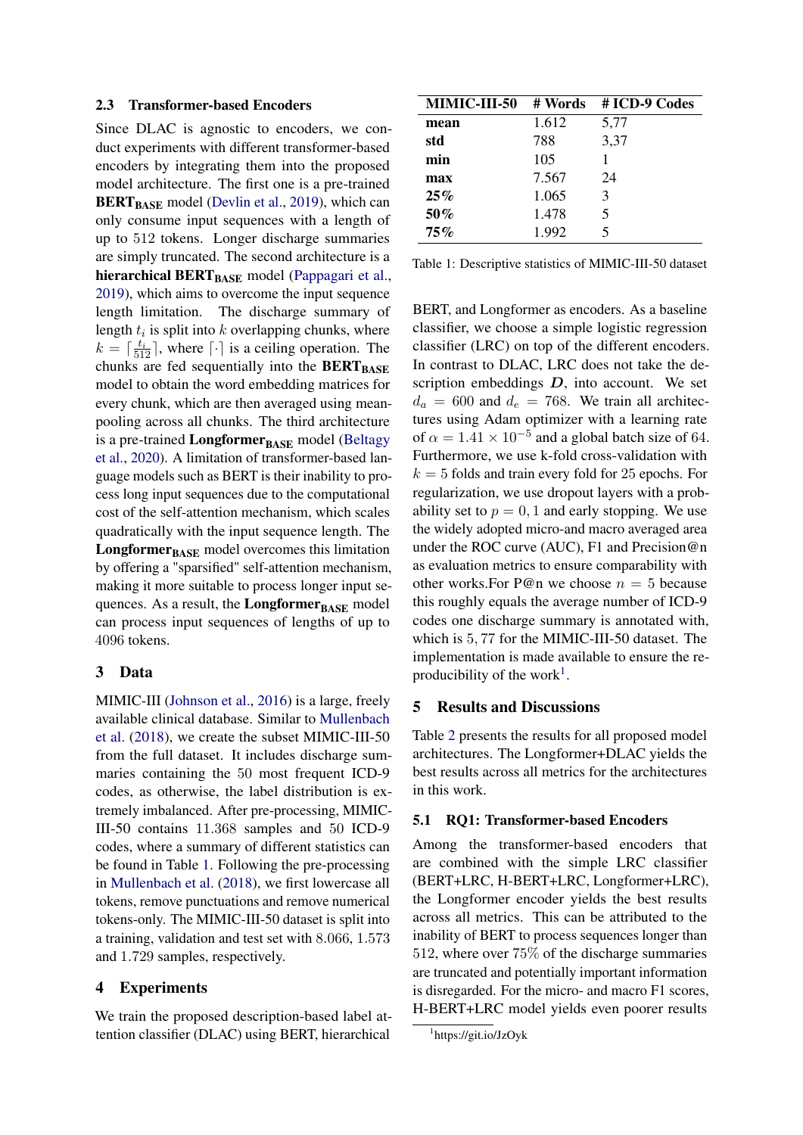#### 2.3 Transformer-based Encoders

Since DLAC is agnostic to encoders, we conduct experiments with different transformer-based encoders by integrating them into the proposed model architecture. The first one is a pre-trained BERT<sub>BASE</sub> model [\(Devlin et al.,](#page-4-5) [2019\)](#page-4-5), which can only consume input sequences with a length of up to 512 tokens. Longer discharge summaries are simply truncated. The second architecture is a hierarchical  $BERT_{BASE}$  model [\(Pappagari et al.,](#page-4-10) [2019\)](#page-4-10), which aims to overcome the input sequence length limitation. The discharge summary of length  $t_i$  is split into  $k$  overlapping chunks, where  $k = \lceil \frac{t_i}{512} \rceil$ , where  $\lceil \cdot \rceil$  is a ceiling operation. The chunks are fed sequentially into the  $BERT_{BASE}$ model to obtain the word embedding matrices for every chunk, which are then averaged using meanpooling across all chunks. The third architecture is a pre-trained  $Longformer_{\text{BASE}}$  model [\(Beltagy](#page-4-11) [et al.,](#page-4-11) [2020\)](#page-4-11). A limitation of transformer-based language models such as BERT is their inability to process long input sequences due to the computational cost of the self-attention mechanism, which scales quadratically with the input sequence length. The **Longformer** $_{\text{BASE}}$  model overcomes this limitation by offering a "sparsified" self-attention mechanism, making it more suitable to process longer input sequences. As a result, the Longformer $_{\text{BASE}}$  model can process input sequences of lengths of up to 4096 tokens.

# 3 Data

MIMIC-III [\(Johnson et al.,](#page-4-13) [2016\)](#page-4-13) is a large, freely available clinical database. Similar to [Mullenbach](#page-4-2) [et al.](#page-4-2) [\(2018\)](#page-4-2), we create the subset MIMIC-III-50 from the full dataset. It includes discharge summaries containing the 50 most frequent ICD-9 codes, as otherwise, the label distribution is extremely imbalanced. After pre-processing, MIMIC-III-50 contains 11.368 samples and 50 ICD-9 codes, where a summary of different statistics can be found in Table [1.](#page-2-0) Following the pre-processing in [Mullenbach et al.](#page-4-2) [\(2018\)](#page-4-2), we first lowercase all tokens, remove punctuations and remove numerical tokens-only. The MIMIC-III-50 dataset is split into a training, validation and test set with 8.066, 1.573 and 1.729 samples, respectively.

# 4 Experiments

We train the proposed description-based label attention classifier (DLAC) using BERT, hierarchical

<span id="page-2-0"></span>

| MIMIC-III-50 | # Words | # ICD-9 Codes |
|--------------|---------|---------------|
| mean         | 1.612   | 5,77          |
| std          | 788     | 3,37          |
| min          | 105     |               |
| max          | 7.567   | 24            |
| 25%          | 1.065   | 3             |
| 50%          | 1.478   | 5             |
| 75%          | 1.992   | 5             |

| Table 1: Descriptive statistics of MIMIC-III-50 dataset |  |
|---------------------------------------------------------|--|
|---------------------------------------------------------|--|

BERT, and Longformer as encoders. As a baseline classifier, we choose a simple logistic regression classifier (LRC) on top of the different encoders. In contrast to DLAC, LRC does not take the description embeddings  $D$ , into account. We set  $d_a = 600$  and  $d_e = 768$ . We train all architectures using Adam optimizer with a learning rate of  $\alpha = 1.41 \times 10^{-5}$  and a global batch size of 64. Furthermore, we use k-fold cross-validation with  $k = 5$  folds and train every fold for 25 epochs. For regularization, we use dropout layers with a probability set to  $p = 0, 1$  and early stopping. We use the widely adopted micro-and macro averaged area under the ROC curve (AUC), F1 and Precision@n as evaluation metrics to ensure comparability with other works. For P@n we choose  $n = 5$  because this roughly equals the average number of ICD-9 codes one discharge summary is annotated with, which is 5, 77 for the MIMIC-III-50 dataset. The implementation is made available to ensure the re-producibility of the work<sup>[1](#page-2-1)</sup>.

### 5 Results and Discussions

Table [2](#page-3-0) presents the results for all proposed model architectures. The Longformer+DLAC yields the best results across all metrics for the architectures in this work.

### 5.1 RQ1: Transformer-based Encoders

Among the transformer-based encoders that are combined with the simple LRC classifier (BERT+LRC, H-BERT+LRC, Longformer+LRC), the Longformer encoder yields the best results across all metrics. This can be attributed to the inability of BERT to process sequences longer than 512, where over 75% of the discharge summaries are truncated and potentially important information is disregarded. For the micro- and macro F1 scores, H-BERT+LRC model yields even poorer results

<span id="page-2-1"></span><sup>1</sup> https://git.io/JzOyk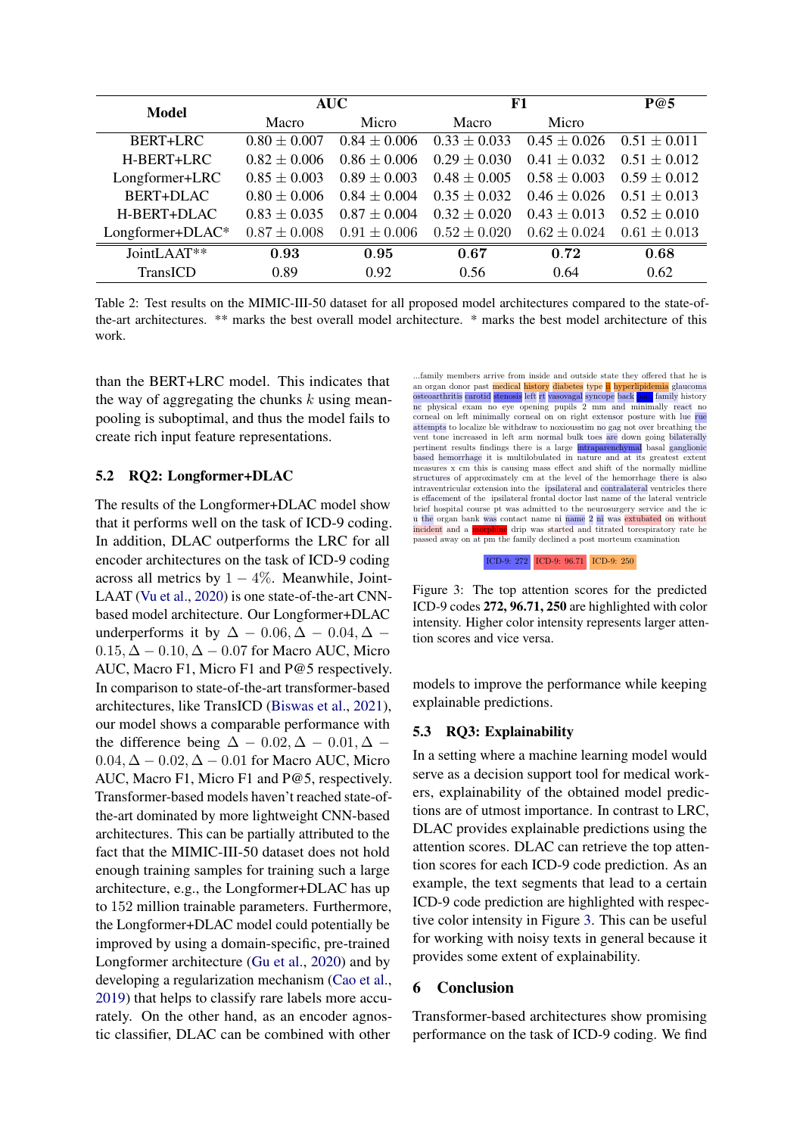<span id="page-3-0"></span>

| Model            | <b>AUC</b>       |                  | F1               |                  | P@5              |
|------------------|------------------|------------------|------------------|------------------|------------------|
|                  | Macro            | Micro            | Macro            | Micro            |                  |
| <b>BERT+LRC</b>  | $0.80 \pm 0.007$ | $0.84 \pm 0.006$ | $0.33 \pm 0.033$ | $0.45 \pm 0.026$ | $0.51 + 0.011$   |
| H-BERT+LRC       | $0.82 \pm 0.006$ | $0.86 \pm 0.006$ | $0.29 \pm 0.030$ | $0.41 \pm 0.032$ | $0.51 \pm 0.012$ |
| Longformer+LRC   | $0.85 \pm 0.003$ | $0.89 \pm 0.003$ | $0.48 \pm 0.005$ | $0.58 \pm 0.003$ | $0.59 + 0.012$   |
| <b>BERT+DLAC</b> | $0.80 \pm 0.006$ | $0.84 \pm 0.004$ | $0.35 \pm 0.032$ | $0.46 \pm 0.026$ | $0.51 + 0.013$   |
| H-BERT+DLAC      | $0.83 \pm 0.035$ | $0.87 \pm 0.004$ | $0.32 + 0.020$   | $0.43 \pm 0.013$ | $0.52 + 0.010$   |
| Longformer+DLAC* | $0.87 \pm 0.008$ | $0.91 \pm 0.006$ | $0.52 \pm 0.020$ | $0.62 \pm 0.024$ | $0.61 \pm 0.013$ |
| JointLAAT**      | 0.93             | 0.95             | 0.67             | 0.72             | 0.68             |
| TransICD         | 0.89             | 0.92             | 0.56             | 0.64             | 0.62             |

Table 2: Test results on the MIMIC-III-50 dataset for all proposed model architectures compared to the state-ofthe-art architectures. \*\* marks the best overall model architecture. \* marks the best model architecture of this work.

than the BERT+LRC model. This indicates that the way of aggregating the chunks  $k$  using meanpooling is suboptimal, and thus the model fails to create rich input feature representations.

# 5.2 RQ2: Longformer+DLAC

The results of the Longformer+DLAC model show that it performs well on the task of ICD-9 coding. In addition, DLAC outperforms the LRC for all encoder architectures on the task of ICD-9 coding across all metrics by  $1 - 4\%$ . Meanwhile, Joint-LAAT [\(Vu et al.,](#page-4-3) [2020\)](#page-4-3) is one state-of-the-art CNNbased model architecture. Our Longformer+DLAC underperforms it by  $\Delta - 0.06, \Delta - 0.04, \Delta 0.15, \Delta - 0.10, \Delta - 0.07$  for Macro AUC, Micro AUC, Macro F1, Micro F1 and P@5 respectively. In comparison to state-of-the-art transformer-based architectures, like TransICD [\(Biswas et al.,](#page-4-7) [2021\)](#page-4-7), our model shows a comparable performance with the difference being  $\Delta - 0.02, \Delta - 0.01, \Delta 0.04, \Delta - 0.02, \Delta - 0.01$  for Macro AUC, Micro AUC, Macro F1, Micro F1 and P@5, respectively. Transformer-based models haven't reached state-ofthe-art dominated by more lightweight CNN-based architectures. This can be partially attributed to the fact that the MIMIC-III-50 dataset does not hold enough training samples for training such a large architecture, e.g., the Longformer+DLAC has up to 152 million trainable parameters. Furthermore, the Longformer+DLAC model could potentially be improved by using a domain-specific, pre-trained Longformer architecture [\(Gu et al.,](#page-4-14) [2020\)](#page-4-14) and by developing a regularization mechanism [\(Cao et al.,](#page-4-15) [2019\)](#page-4-15) that helps to classify rare labels more accurately. On the other hand, as an encoder agnostic classifier, DLAC can be combined with other

<span id="page-3-1"></span>

ICD-9: 272 ICD-9: 96.71 ICD-9: 250

Figure 3: The top attention scores for the predicted ICD-9 codes 272, 96.71, 250 are highlighted with color intensity. Higher color intensity represents larger attention scores and vice versa.

models to improve the performance while keeping explainable predictions.

# 5.3 RQ3: Explainability

In a setting where a machine learning model would serve as a decision support tool for medical workers, explainability of the obtained model predictions are of utmost importance. In contrast to LRC, DLAC provides explainable predictions using the attention scores. DLAC can retrieve the top attention scores for each ICD-9 code prediction. As an example, the text segments that lead to a certain ICD-9 code prediction are highlighted with respective color intensity in Figure [3.](#page-3-1) This can be useful for working with noisy texts in general because it provides some extent of explainability.

# 6 Conclusion

Transformer-based architectures show promising performance on the task of ICD-9 coding. We find